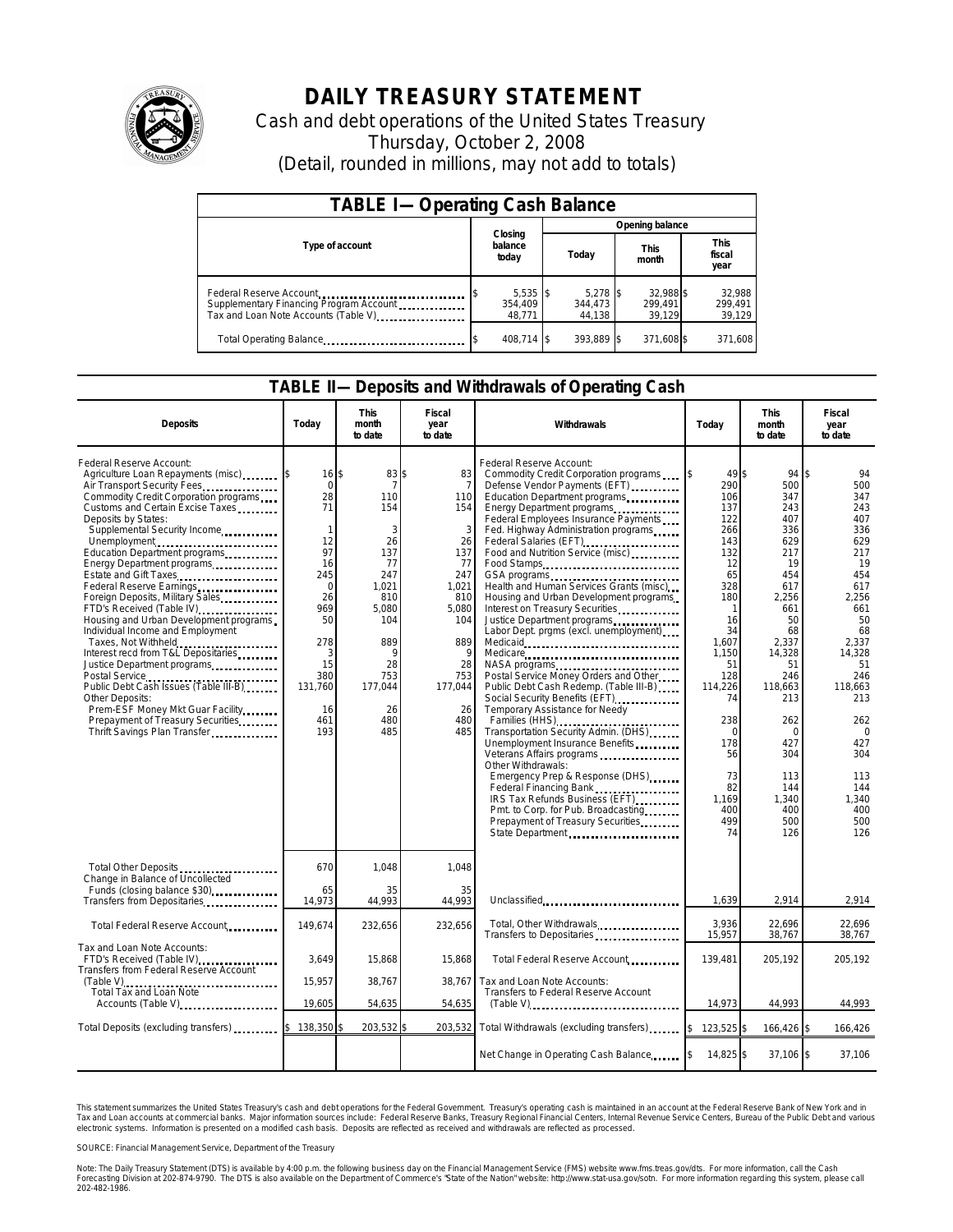

## **DAILY TREASURY STATEMENT**

Cash and debt operations of the United States Treasury Thursday, October 2, 2008 (Detail, rounded in millions, may not add to totals)

| <b>TABLE I-Operating Cash Balance</b>                                                                       |                                 |                                |                                |                               |  |  |  |  |
|-------------------------------------------------------------------------------------------------------------|---------------------------------|--------------------------------|--------------------------------|-------------------------------|--|--|--|--|
|                                                                                                             |                                 | Opening balance                |                                |                               |  |  |  |  |
| Type of account                                                                                             | Closing<br>balance<br>today     | Today                          | <b>This</b><br>month           | <b>This</b><br>fiscal<br>year |  |  |  |  |
| Federal Reserve Account<br>Supplementary Financing Program Account<br>Tax and Loan Note Accounts (Table V). | $5,535$ \$<br>354,409<br>48,771 | $5.278$ S<br>344.473<br>44,138 | 32.988 \$<br>299.491<br>39,129 | 32,988<br>299,491<br>39,129   |  |  |  |  |
| Total Operating Balance                                                                                     | 408,714 \$                      | 393,889 \$                     | 371,608 \$                     | 371,608                       |  |  |  |  |

## **TABLE II—Deposits and Withdrawals of Operating Cash**

| <b>Deposits</b>                                                                                                                                                                                                                                                                                                                                                                                                                                                                                                                                                                                                                                                                                                                                                                                | Today                                                                                                                                                                  | <b>This</b><br>month<br>to date                                                                                                            | Fiscal<br>year<br>to date                                                                                                               | Withdrawals                                                                                                                                                                                                                                                                                                                                                                                                                                                                                                                                                                                                                                                                                                                                                                                                                                                                                                                                                                                                                                                           | Today                                                                                                                                                                                                                      | This<br>month<br>to date                                                                                                                                                                                                              | Fiscal<br>year<br>to date                                                                                                                                                                                                          |
|------------------------------------------------------------------------------------------------------------------------------------------------------------------------------------------------------------------------------------------------------------------------------------------------------------------------------------------------------------------------------------------------------------------------------------------------------------------------------------------------------------------------------------------------------------------------------------------------------------------------------------------------------------------------------------------------------------------------------------------------------------------------------------------------|------------------------------------------------------------------------------------------------------------------------------------------------------------------------|--------------------------------------------------------------------------------------------------------------------------------------------|-----------------------------------------------------------------------------------------------------------------------------------------|-----------------------------------------------------------------------------------------------------------------------------------------------------------------------------------------------------------------------------------------------------------------------------------------------------------------------------------------------------------------------------------------------------------------------------------------------------------------------------------------------------------------------------------------------------------------------------------------------------------------------------------------------------------------------------------------------------------------------------------------------------------------------------------------------------------------------------------------------------------------------------------------------------------------------------------------------------------------------------------------------------------------------------------------------------------------------|----------------------------------------------------------------------------------------------------------------------------------------------------------------------------------------------------------------------------|---------------------------------------------------------------------------------------------------------------------------------------------------------------------------------------------------------------------------------------|------------------------------------------------------------------------------------------------------------------------------------------------------------------------------------------------------------------------------------|
| Federal Reserve Account:<br>Agriculture Loan Repayments (misc) \$<br>Air Transport Security Fees<br>Commodity Credit Corporation programs<br>Customs and Certain Excise Taxes<br>Deposits by States:<br>Supplemental Security Income<br>Unemployment<br>Education Department programs<br>Energy Department programs<br><br>Estate and Gift Taxes<br>Federal Reserve Earnings<br>Foreign Deposits, Military Sales<br>FTD's Received (Table IV)<br>Housing and Urban Development programs<br>Individual Income and Employment<br>Taxes, Not Withheld<br>Interest recd from T&L Depositaries<br>Justice Department programs<br>Public Debt Cash Issues (Table III-B).<br>Other Deposits:<br>Prem-ESF Money Mkt Guar Facility<br>Prepayment of Treasury Securities<br>Thrift Savings Plan Transfer | 16 \$<br>$\overline{0}$<br>28<br>71<br>$\mathbf{1}$<br>12<br>97<br>16<br>245<br>$\mathbf 0$<br>26<br>969<br>50<br>278<br>3<br>15<br>380<br>131,760<br>16<br>461<br>193 | 83 \$<br>110<br>154<br>3<br>26<br>137<br>77<br>247<br>1.021<br>810<br>5,080<br>104<br>889<br>9<br>28<br>753<br>177,044<br>26<br>480<br>485 | 83<br>110<br>154<br>3<br>26<br>137<br>77<br>247<br>1.021<br>810<br>5,080<br>104<br>889<br>q<br>28<br>753<br>177,044<br>26<br>480<br>485 | Federal Reserve Account:<br>Commodity Credit Corporation programs<br>Defense Vendor Payments (EFT)<br>Education Department programs<br>Energy Department programs<br>Federal Employees Insurance Payments<br>Fed. Highway Administration programs<br>Federal Salaries (EFT)<br>Food and Nutrition Service (misc)<br>Food Stamps<br>GSA programs<br>Health and Human Services Grants (misc)<br>Housing and Urban Development programs<br>Interest on Treasury Securities<br>Justice Department programs<br>Labor Dept. prgms (excl. unemployment)<br>Medicare<br>Postal Service Money Orders and Other<br>Public Debt Cash Redemp. (Table III-B)<br>Social Security Benefits (EFT)<br><br>Temporary Assistance for Needy<br>Transportation Security Admin. (DHS)<br>Unemployment Insurance Benefits<br>Veterans Affairs programs<br>Other Withdrawals:<br>Emergency Prep & Response (DHS)<br>Federal Financing Bank <b>Community</b><br>IRS Tax Refunds Business (EFT)<br>Pmt. to Corp. for Pub. Broadcasting<br>Prepayment of Treasury Securities<br>State Department | 49 \$<br>290<br>106<br>137<br>122<br>266<br>143<br>132<br>12<br>65<br>328<br>180<br>1<br>16<br>34<br>1,607<br>1.150<br>51<br>128<br>114,226<br>74<br>238<br>$\Omega$<br>178<br>56<br>73<br>82<br>1.169<br>400<br>499<br>74 | 94 \$<br>500<br>347<br>243<br>407<br>336<br>629<br>217<br>19<br>454<br>617<br>2,256<br>661<br>50<br>68<br>2,337<br>14,328<br>51<br>246<br>118,663<br>213<br>262<br>$\Omega$<br>427<br>304<br>113<br>144<br>1,340<br>400<br>500<br>126 | 94<br>500<br>347<br>243<br>407<br>336<br>629<br>217<br>19<br>454<br>617<br>2,256<br>661<br>50<br>68<br>2,337<br>14,328<br>51<br>246<br>118,663<br>213<br>262<br>$\Omega$<br>427<br>304<br>113<br>144<br>1,340<br>400<br>500<br>126 |
| Total Other Deposits<br>Change in Balance of Uncollected<br>Funds (closing balance \$30)                                                                                                                                                                                                                                                                                                                                                                                                                                                                                                                                                                                                                                                                                                       | 670<br>65<br>14,973                                                                                                                                                    | 1,048<br>35<br>44,993                                                                                                                      | 1,048<br>35<br>44,993                                                                                                                   | Unclassified                                                                                                                                                                                                                                                                                                                                                                                                                                                                                                                                                                                                                                                                                                                                                                                                                                                                                                                                                                                                                                                          | 1,639                                                                                                                                                                                                                      | 2,914                                                                                                                                                                                                                                 | 2,914                                                                                                                                                                                                                              |
| Transfers from Depositaries<br>Total Federal Reserve Account                                                                                                                                                                                                                                                                                                                                                                                                                                                                                                                                                                                                                                                                                                                                   | 149,674                                                                                                                                                                | 232,656                                                                                                                                    | 232,656                                                                                                                                 | Total, Other Withdrawals<br>Transfers to Depositaries                                                                                                                                                                                                                                                                                                                                                                                                                                                                                                                                                                                                                                                                                                                                                                                                                                                                                                                                                                                                                 | 3,936<br>15,957                                                                                                                                                                                                            | 22,696<br>38,767                                                                                                                                                                                                                      | 22.696<br>38,767                                                                                                                                                                                                                   |
| Tax and Loan Note Accounts:<br>FTD's Received (Table IV)<br>Transfers from Federal Reserve Account                                                                                                                                                                                                                                                                                                                                                                                                                                                                                                                                                                                                                                                                                             | 3,649<br>15,957                                                                                                                                                        | 15,868<br>38,767                                                                                                                           | 15,868<br>38,767                                                                                                                        | Total Federal Reserve Account<br>Tax and Loan Note Accounts:                                                                                                                                                                                                                                                                                                                                                                                                                                                                                                                                                                                                                                                                                                                                                                                                                                                                                                                                                                                                          | 139,481                                                                                                                                                                                                                    | 205,192                                                                                                                                                                                                                               | 205,192                                                                                                                                                                                                                            |
| Total Tax and Loan Note<br>Accounts (Table V)                                                                                                                                                                                                                                                                                                                                                                                                                                                                                                                                                                                                                                                                                                                                                  | 19,605                                                                                                                                                                 | 54,635                                                                                                                                     | 54,635                                                                                                                                  | Transfers to Federal Reserve Account<br>(Table V)                                                                                                                                                                                                                                                                                                                                                                                                                                                                                                                                                                                                                                                                                                                                                                                                                                                                                                                                                                                                                     | 14,973                                                                                                                                                                                                                     | 44,993                                                                                                                                                                                                                                | 44,993                                                                                                                                                                                                                             |
| Total Deposits (excluding transfers) [100]                                                                                                                                                                                                                                                                                                                                                                                                                                                                                                                                                                                                                                                                                                                                                     | <sup>\$</sup><br>138,350 \$                                                                                                                                            | 203,532 \$                                                                                                                                 | 203,532                                                                                                                                 | Total Withdrawals (excluding transfers)                                                                                                                                                                                                                                                                                                                                                                                                                                                                                                                                                                                                                                                                                                                                                                                                                                                                                                                                                                                                                               | $\overline{15}$<br>123,525 \$                                                                                                                                                                                              | 166,426 \$                                                                                                                                                                                                                            | 166,426                                                                                                                                                                                                                            |
|                                                                                                                                                                                                                                                                                                                                                                                                                                                                                                                                                                                                                                                                                                                                                                                                |                                                                                                                                                                        |                                                                                                                                            |                                                                                                                                         | Net Change in Operating Cash Balance                                                                                                                                                                                                                                                                                                                                                                                                                                                                                                                                                                                                                                                                                                                                                                                                                                                                                                                                                                                                                                  | 14,825 \$                                                                                                                                                                                                                  | $37,106$ \$                                                                                                                                                                                                                           | 37,106                                                                                                                                                                                                                             |

This statement summarizes the United States Treasury's cash and debt operations for the Federal Government.<br>Tax and Loan accounts at commercial banks. Major information sources include: Federal Reserve Banks, Trea<br>electr narizes the United States Treasury's cash and debt operations for the Federal Government. Treasury's operating cash is maintained in an account at the Federal Reserve Bank of New York and in<br>ints at commercial banks. Major

SOURCE: Financial Management Service, Department of the Treasury

Note: The Daily Treasury Statement (DTS) is available by 4:00 p.m. the following business day on the Financial Management Service (FMS) website www.fms.treas.gov/dts.<br>Forecasting Division at 202-874-9790. The DTS is also a 'S) is available by 4:00 p.m. the following business day on the Financial Management Service (FMS) website www.fms.treas.gov/dts. For more information, call the Cash<br>The DTS is also available on the Department of Commerce'